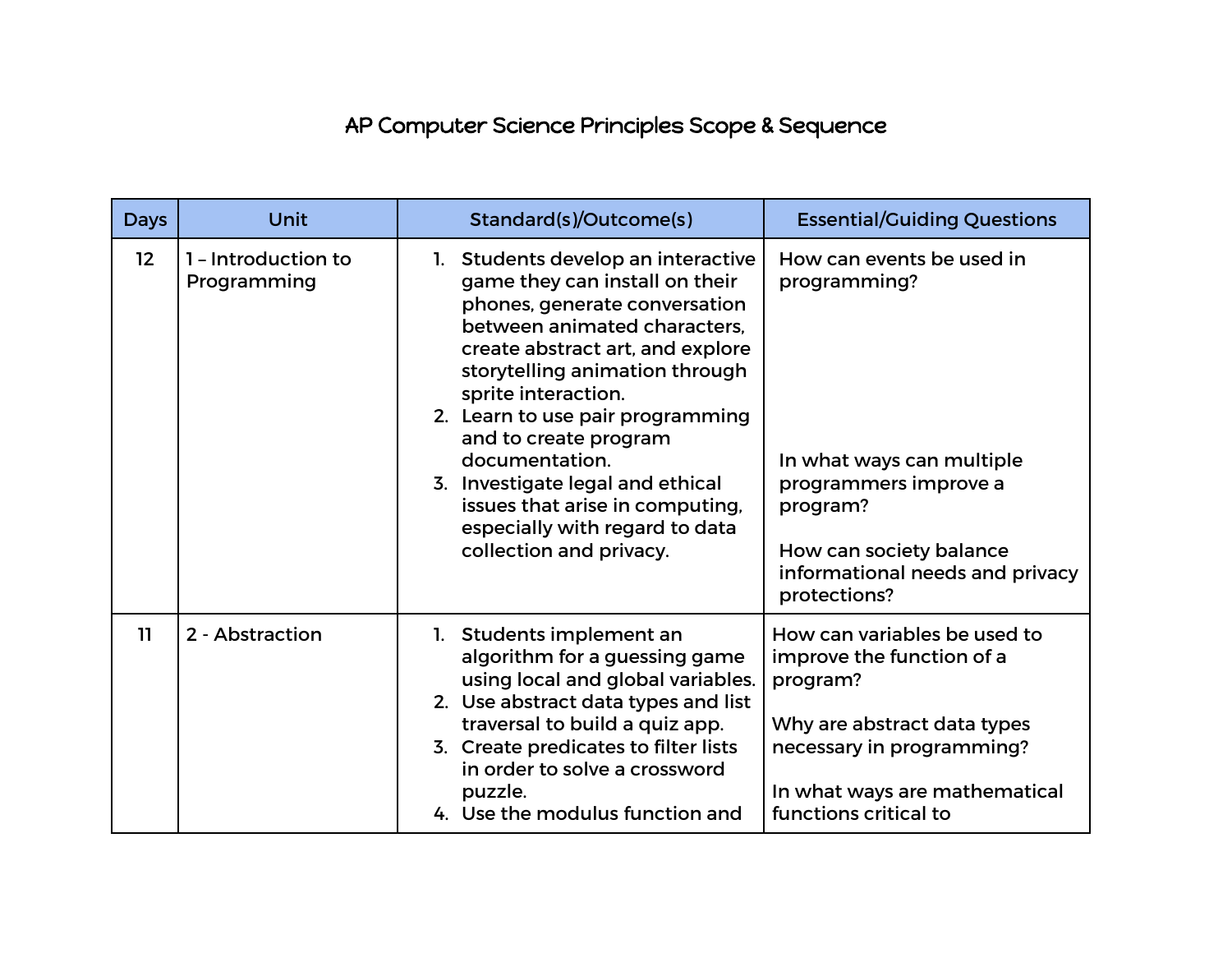## AP Computer Science Principles Scope & Sequence

| <b>Days</b> | Unit                               | Standard(s)/Outcome(s)                                                                                                                                                                                                                                                                                                                                                                                                                                   | <b>Essential/Guiding Questions</b>                                                                                                                                                          |
|-------------|------------------------------------|----------------------------------------------------------------------------------------------------------------------------------------------------------------------------------------------------------------------------------------------------------------------------------------------------------------------------------------------------------------------------------------------------------------------------------------------------------|---------------------------------------------------------------------------------------------------------------------------------------------------------------------------------------------|
| 12          | 1 - Introduction to<br>Programming | Students develop an interactive<br>1.<br>game they can install on their<br>phones, generate conversation<br>between animated characters.<br>create abstract art, and explore<br>storytelling animation through<br>sprite interaction.<br>2. Learn to use pair programming<br>and to create program<br>documentation.<br>3. Investigate legal and ethical<br>issues that arise in computing,<br>especially with regard to data<br>collection and privacy. | How can events be used in<br>programming?<br>In what ways can multiple<br>programmers improve a<br>program?<br>How can society balance<br>informational needs and privacy<br>protections?   |
| 11          | 2 - Abstraction                    | 1. Students implement an<br>algorithm for a guessing game<br>using local and global variables.<br>2. Use abstract data types and list<br>traversal to build a quiz app.<br>3. Create predicates to filter lists<br>in order to solve a crossword<br>puzzle.<br>4. Use the modulus function and                                                                                                                                                           | How can variables be used to<br>improve the function of a<br>program?<br>Why are abstract data types<br>necessary in programming?<br>In what ways are mathematical<br>functions critical to |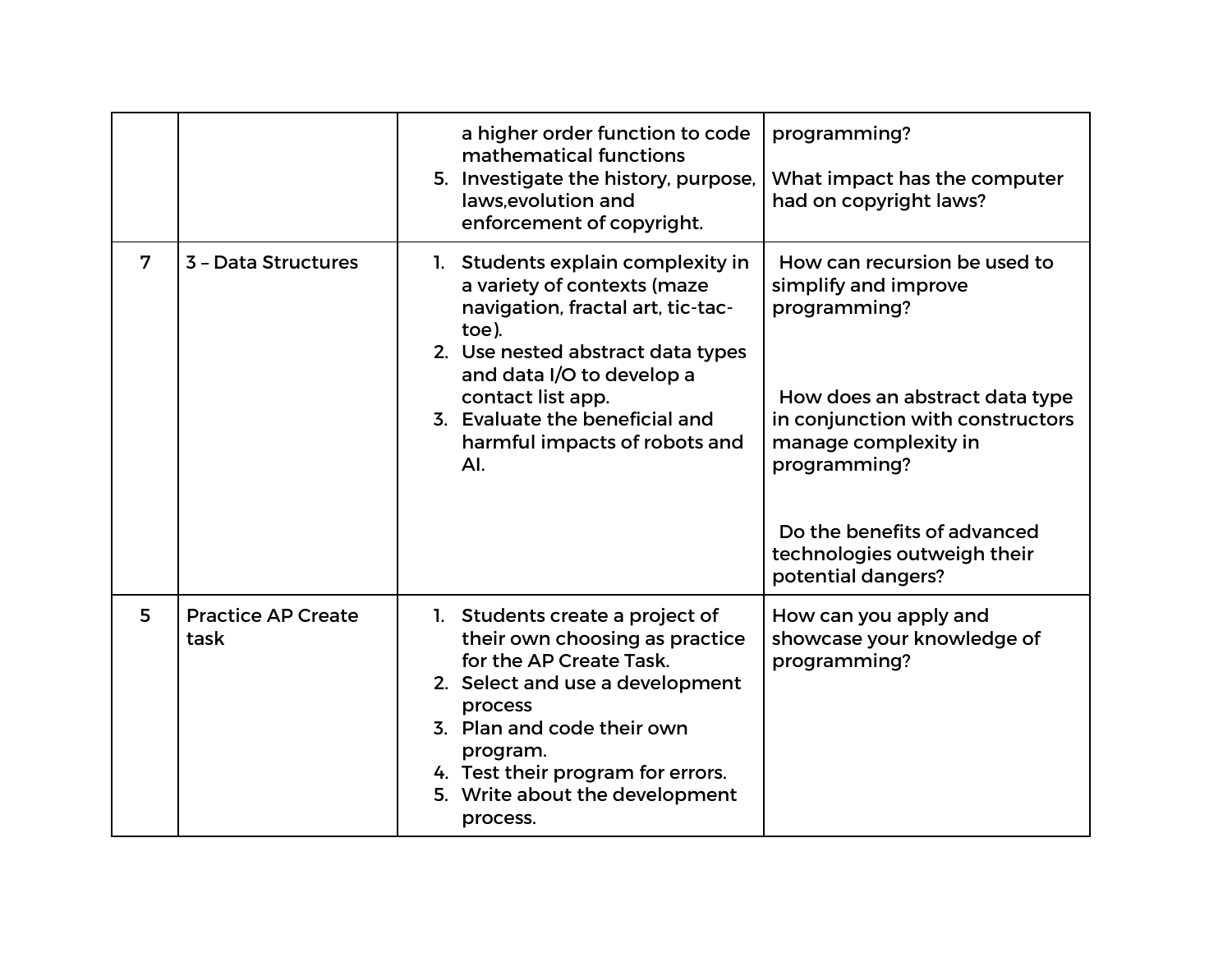|   |                                   | a higher order function to code<br>mathematical functions<br>5. Investigate the history, purpose,<br>laws, evolution and<br>enforcement of copyright.                                                                                                                           | programming?<br>What impact has the computer<br>had on copyright laws?                                                                                                                                                                                                 |
|---|-----------------------------------|---------------------------------------------------------------------------------------------------------------------------------------------------------------------------------------------------------------------------------------------------------------------------------|------------------------------------------------------------------------------------------------------------------------------------------------------------------------------------------------------------------------------------------------------------------------|
| 7 | 3 - Data Structures               | 1. Students explain complexity in<br>a variety of contexts (maze<br>navigation, fractal art, tic-tac-<br>toe).<br>2. Use nested abstract data types<br>and data I/O to develop a<br>contact list app.<br>3. Evaluate the beneficial and<br>harmful impacts of robots and<br>AI. | How can recursion be used to<br>simplify and improve<br>programming?<br>How does an abstract data type<br>in conjunction with constructors<br>manage complexity in<br>programming?<br>Do the benefits of advanced<br>technologies outweigh their<br>potential dangers? |
| 5 | <b>Practice AP Create</b><br>task | 1. Students create a project of<br>their own choosing as practice<br>for the AP Create Task.<br>2. Select and use a development<br>process<br>3. Plan and code their own<br>program.<br>4. Test their program for errors.<br>5. Write about the development<br>process.         | How can you apply and<br>showcase your knowledge of<br>programming?                                                                                                                                                                                                    |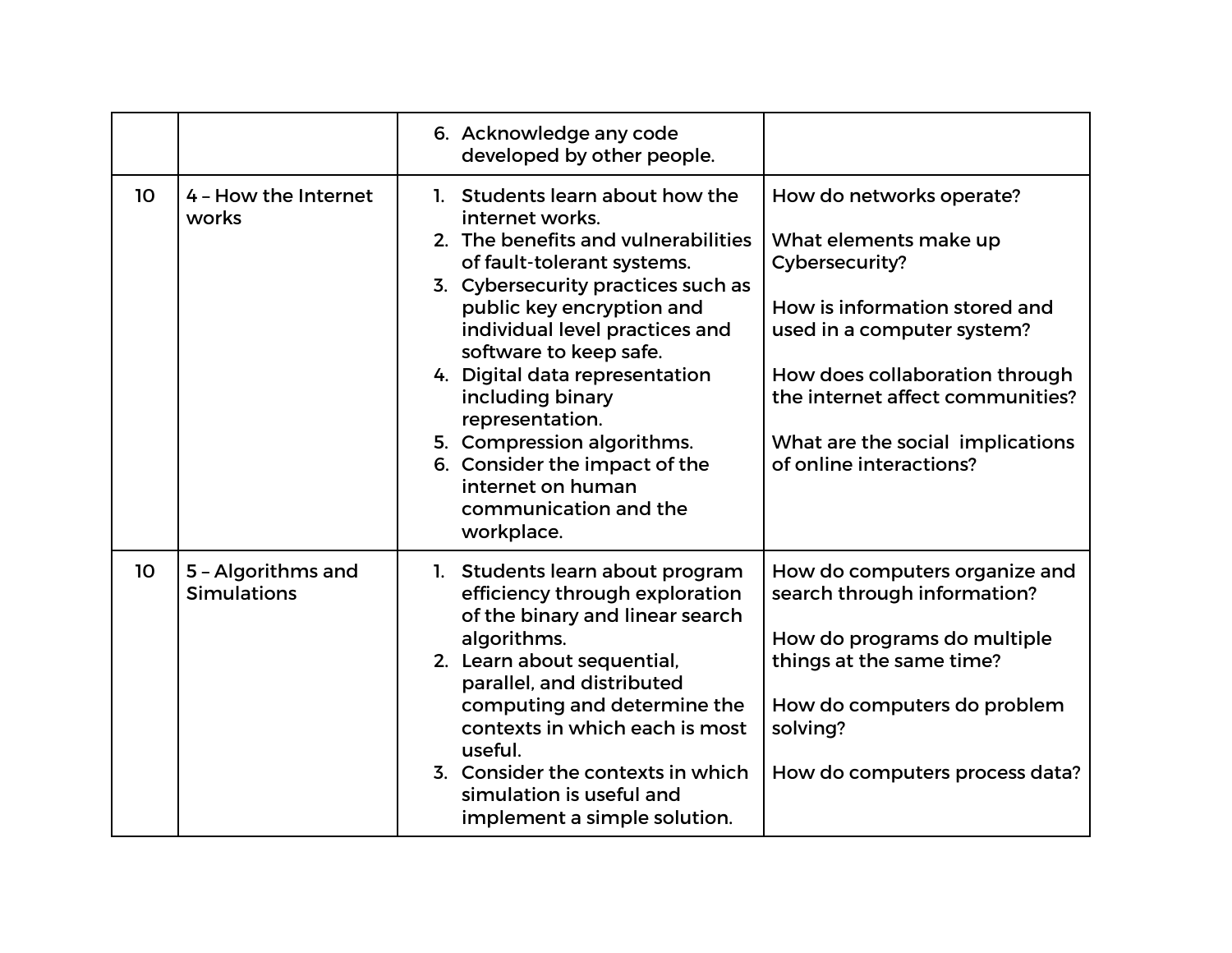|                 |                                          | 6. Acknowledge any code<br>developed by other people.                                                                                                                                                                                                                                                                                                                                                                                                      |                                                                                                                                                                                                                                                                         |
|-----------------|------------------------------------------|------------------------------------------------------------------------------------------------------------------------------------------------------------------------------------------------------------------------------------------------------------------------------------------------------------------------------------------------------------------------------------------------------------------------------------------------------------|-------------------------------------------------------------------------------------------------------------------------------------------------------------------------------------------------------------------------------------------------------------------------|
| 10 <sup>°</sup> | 4 - How the Internet<br>works            | 1. Students learn about how the<br>internet works.<br>2. The benefits and vulnerabilities<br>of fault-tolerant systems.<br>3. Cybersecurity practices such as<br>public key encryption and<br>individual level practices and<br>software to keep safe.<br>4. Digital data representation<br>including binary<br>representation.<br>5. Compression algorithms.<br>6. Consider the impact of the<br>internet on human<br>communication and the<br>workplace. | How do networks operate?<br>What elements make up<br>Cybersecurity?<br>How is information stored and<br>used in a computer system?<br>How does collaboration through<br>the internet affect communities?<br>What are the social implications<br>of online interactions? |
| 10 <sup>°</sup> | 5 - Algorithms and<br><b>Simulations</b> | 1. Students learn about program<br>efficiency through exploration<br>of the binary and linear search<br>algorithms.<br>2. Learn about sequential,<br>parallel, and distributed<br>computing and determine the<br>contexts in which each is most<br>useful.<br>3. Consider the contexts in which<br>simulation is useful and<br>implement a simple solution.                                                                                                | How do computers organize and<br>search through information?<br>How do programs do multiple<br>things at the same time?<br>How do computers do problem<br>solving?<br>How do computers process data?                                                                    |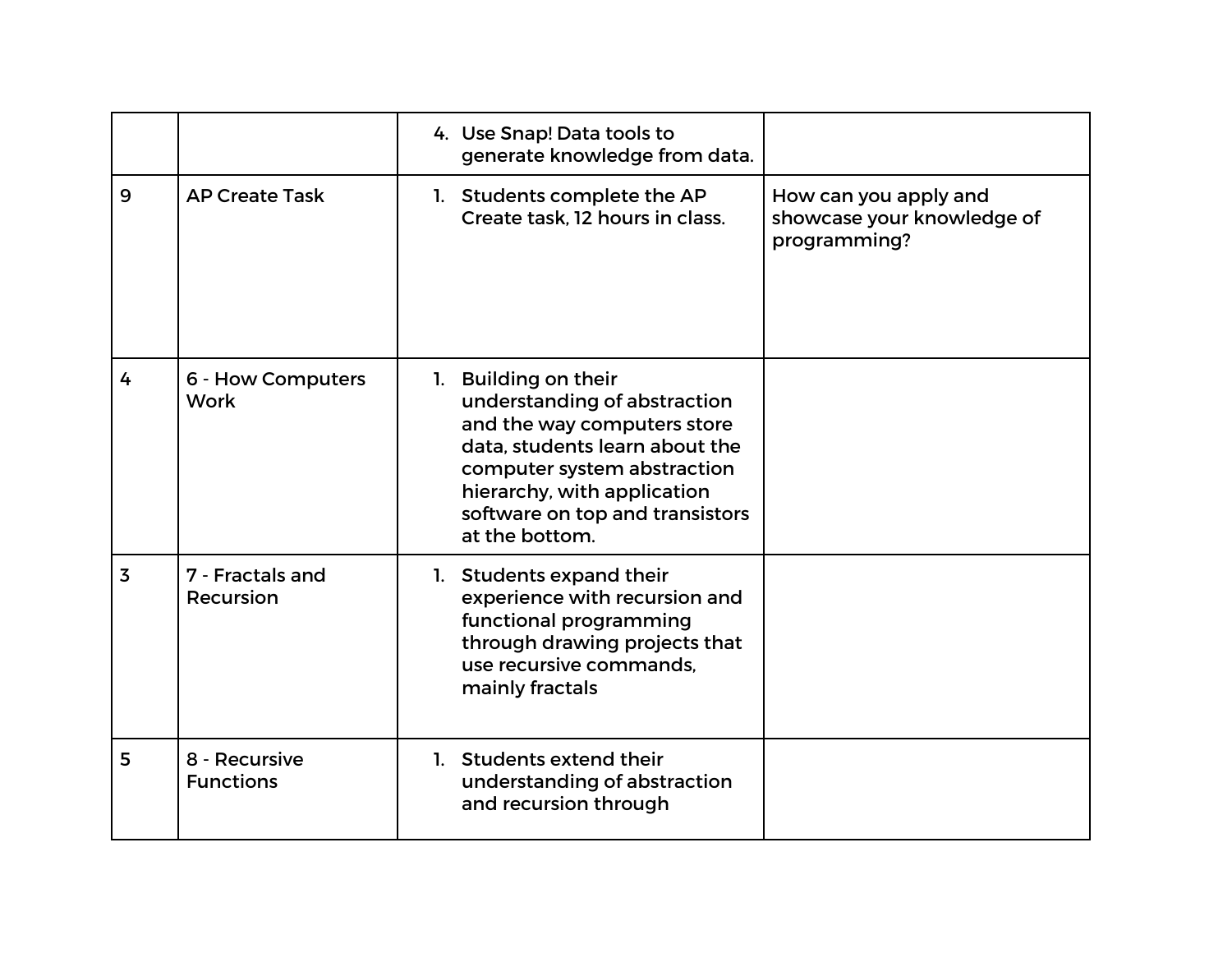|   |                                   | 4. Use Snap! Data tools to<br>generate knowledge from data.                                                                                                                                                                              |                                                                     |
|---|-----------------------------------|------------------------------------------------------------------------------------------------------------------------------------------------------------------------------------------------------------------------------------------|---------------------------------------------------------------------|
| 9 | <b>AP Create Task</b>             | 1. Students complete the AP<br>Create task. 12 hours in class.                                                                                                                                                                           | How can you apply and<br>showcase your knowledge of<br>programming? |
| 4 | 6 - How Computers<br><b>Work</b>  | 1. Building on their<br>understanding of abstraction<br>and the way computers store<br>data, students learn about the<br>computer system abstraction<br>hierarchy, with application<br>software on top and transistors<br>at the bottom. |                                                                     |
| 3 | 7 - Fractals and<br>Recursion     | 1. Students expand their<br>experience with recursion and<br>functional programming<br>through drawing projects that<br>use recursive commands.<br>mainly fractals                                                                       |                                                                     |
| 5 | 8 - Recursive<br><b>Functions</b> | 1. Students extend their<br>understanding of abstraction<br>and recursion through                                                                                                                                                        |                                                                     |